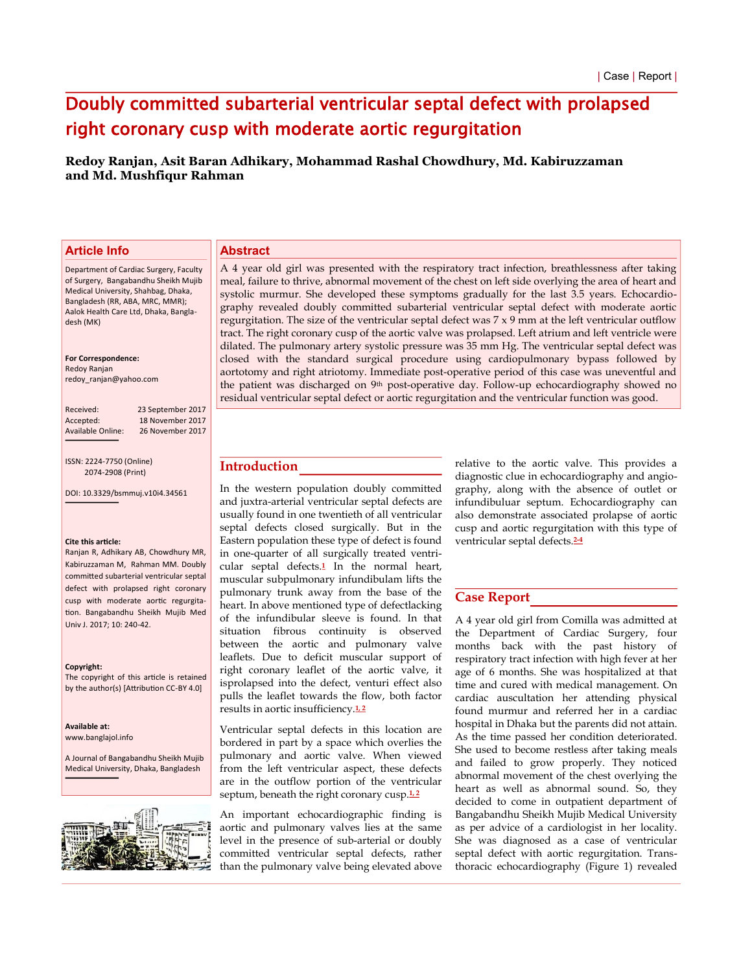# Doubly committed subarterial ventricular septal defect with prolapsed right coronary cusp with moderate aortic regurgitation

**Redoy Ranjan, Asit Baran Adhikary, Mohammad Rashal Chowdhury, Md. Kabiruzzaman and Md. Mushfiqur Rahman** 

# **Article Info**

## **Abstract**

Department of Cardiac Surgery, Faculty of Surgery, Bangabandhu Sheikh Mujib Medical University, Shahbag, Dhaka, Bangladesh (RR, ABA, MRC, MMR); Aalok Health Care Ltd, Dhaka, Bangladesh (MK)

#### **For Correspondence:**

Redoy Ranjan redoy\_ranjan@yahoo.com

| Received:       |
|-----------------|
| Accepted:       |
| Available Onlin |

23 September 2017 18 November 2017 26 November 2017

ISSN: 2224-7750 (Online) 2074-2908 (Print)

DOI: 10.3329/bsmmuj.v10j4.34561

#### **Cite this article:**

Ranjan R, Adhikary AB, Chowdhury MR Kabiruzzaman M, Rahman MM. Doubly committed subarterial ventricular septal defect with prolapsed right coronary cusp with moderate aortic regurgitation. Bangabandhu Sheikh Mujib Med Univ J. 2017; 10: 240-42.

#### **Copyright:**

The copyright of this article is retained by the author(s) [Attribution CC-BY 4.0]

**Availaďle at:** www.banglajol.info

A Journal of Bangabandhu Sheikh Mujib Medical University, Dhaka, Bangladesh



A 4 year old girl was presented with the respiratory tract infection, breathlessness after taking meal, failure to thrive, abnormal movement of the chest on left side overlying the area of heart and systolic murmur. She developed these symptoms gradually for the last 3.5 years. Echocardiography revealed doubly committed subarterial ventricular septal defect with moderate aortic regurgitation. The size of the ventricular septal defect was  $7 \times 9$  mm at the left ventricular outflow tract. The right coronary cusp of the aortic valve was prolapsed. Left atrium and left ventricle were dilated. The pulmonary artery systolic pressure was 35 mm Hg. The ventricular septal defect was closed with the standard surgical procedure using cardiopulmonary bypass followed by aortotomy and right atriotomy. Immediate post-operative period of this case was uneventful and the patient was discharged on 9<sup>th</sup> post-operative day. Follow-up echocardiography showed no residual ventricular septal defect or aortic regurgitation and the ventricular function was good.

# **Introduction**

In the western population doubly committed and juxtra-arterial ventricular septal defects are usually found in one twentieth of all ventricular septal defects closed surgically. But in the Eastern population these type of defect is found in one-quarter of all surgically treated ventricular septal defects.**1** In the normal heart, muscular subpulmonary infundibulam lifts the pulmonary trunk away from the base of the heart. In above mentioned type of defectlacking of the infundibular sleeve is found. In that situation fibrous continuity is observed between the aortic and pulmonary valve leaflets. Due to deficit muscular support of right coronary leaflet of the aortic valve, it isprolapsed into the defect, venturi effect also pulls the leaflet towards the flow, both factor results in aortic insufficiency.**1, 2**

Ventricular septal defects in this location are bordered in part by a space which overlies the pulmonary and aortic valve. When viewed from the left ventricular aspect, these defects are in the outflow portion of the ventricular septum, beneath the right coronary cusp.<sup>1,2</sup>

An important echocardiographic finding is aortic and pulmonary valves lies at the same level in the presence of sub-arterial or doubly committed ventricular septal defects, rather than the pulmonary valve being elevated above

relative to the aortic valve. This provides a diagnostic clue in echocardiography and angiography, along with the absence of outlet or infundibuluar septum. Echocardiography can also demonstrate associated prolapse of aortic cusp and aortic regurgitation with this type of ventricular septal defects.**2-4**

## **Case Report**

A 4 year old girl from Comilla was admitted at the Department of Cardiac Surgery, four months back with the past history of respiratory tract infection with high fever at her age of 6 months. She was hospitalized at that time and cured with medical management. On cardiac auscultation her attending physical found murmur and referred her in a cardiac hospital in Dhaka but the parents did not attain. As the time passed her condition deteriorated. She used to become restless after taking meals and failed to grow properly. They noticed abnormal movement of the chest overlying the heart as well as abnormal sound. So, they decided to come in outpatient department of Bangabandhu Sheikh Mujib Medical University as per advice of a cardiologist in her locality. She was diagnosed as a case of ventricular septal defect with aortic regurgitation. Transthoracic echocardiography (Figure 1) revealed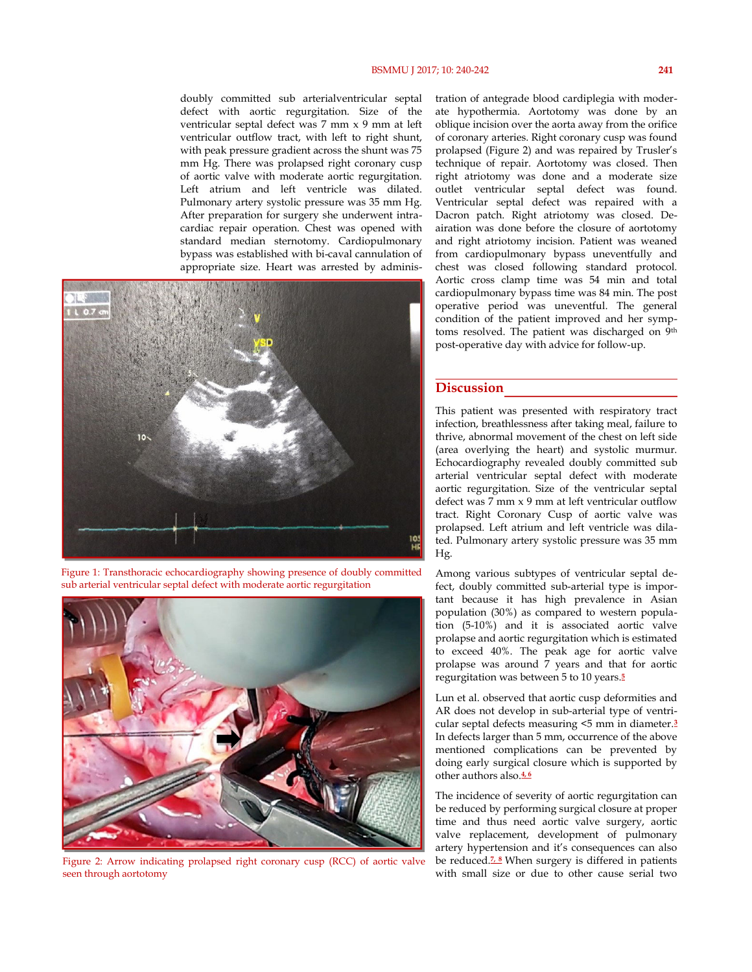doubly committed sub arterialventricular septal defect with aortic regurgitation. Size of the ventricular septal defect was 7 mm x 9 mm at left ventricular outflow tract, with left to right shunt, with peak pressure gradient across the shunt was 75 mm Hg. There was prolapsed right coronary cusp of aortic valve with moderate aortic regurgitation. Left atrium and left ventricle was dilated. Pulmonary artery systolic pressure was 35 mm Hg. After preparation for surgery she underwent intracardiac repair operation. Chest was opened with standard median sternotomy. Cardiopulmonary bypass was established with bi-caval cannulation of appropriate size. Heart was arrested by adminis-



Figure 1: Transthoracic echocardiography showing presence of doubly committed sub arterial ventricular septal defect with moderate aortic regurgitation



Figure 2: Arrow indicating prolapsed right coronary cusp (RCC) of aortic valve seen through aortotomy

tration of antegrade blood cardiplegia with moderate hypothermia. Aortotomy was done by an oblique incision over the aorta away from the orifice of coronary arteries. Right coronary cusp was found prolapsed (Figure 2) and was repaired by Trusler's technique of repair. Aortotomy was closed. Then right atriotomy was done and a moderate size outlet ventricular septal defect was found. Ventricular septal defect was repaired with a Dacron patch. Right atriotomy was closed. Deairation was done before the closure of aortotomy and right atriotomy incision. Patient was weaned from cardiopulmonary bypass uneventfully and chest was closed following standard protocol. Aortic cross clamp time was 54 min and total cardiopulmonary bypass time was 84 min. The post operative period was uneventful. The general condition of the patient improved and her symptoms resolved. The patient was discharged on 9th post-operative day with advice for follow-up.

## **Discussion**

This patient was presented with respiratory tract infection, breathlessness after taking meal, failure to thrive, abnormal movement of the chest on left side (area overlying the heart) and systolic murmur. Echocardiography revealed doubly committed sub arterial ventricular septal defect with moderate aortic regurgitation. Size of the ventricular septal defect was 7 mm x 9 mm at left ventricular outflow tract. Right Coronary Cusp of aortic valve was prolapsed. Left atrium and left ventricle was dilated. Pulmonary artery systolic pressure was 35 mm Hg.

Among various subtypes of ventricular septal defect, doubly committed sub-arterial type is important because it has high prevalence in Asian population (30%) as compared to western population (5-10%) and it is associated aortic valve prolapse and aortic regurgitation which is estimated to exceed 40%. The peak age for aortic valve prolapse was around 7 years and that for aortic regurgitation was between 5 to 10 years.**<sup>5</sup>**

Lun et al. observed that aortic cusp deformities and AR does not develop in sub-arterial type of ventricular septal defects measuring <5 mm in diameter.**<sup>3</sup>** In defects larger than 5 mm, occurrence of the above mentioned complications can be prevented by doing early surgical closure which is supported by other authors also.**4, 6**

The incidence of severity of aortic regurgitation can be reduced by performing surgical closure at proper time and thus need aortic valve surgery, aortic valve replacement, development of pulmonary artery hypertension and it's consequences can also be reduced.**7, 8** When surgery is differed in patients with small size or due to other cause serial two